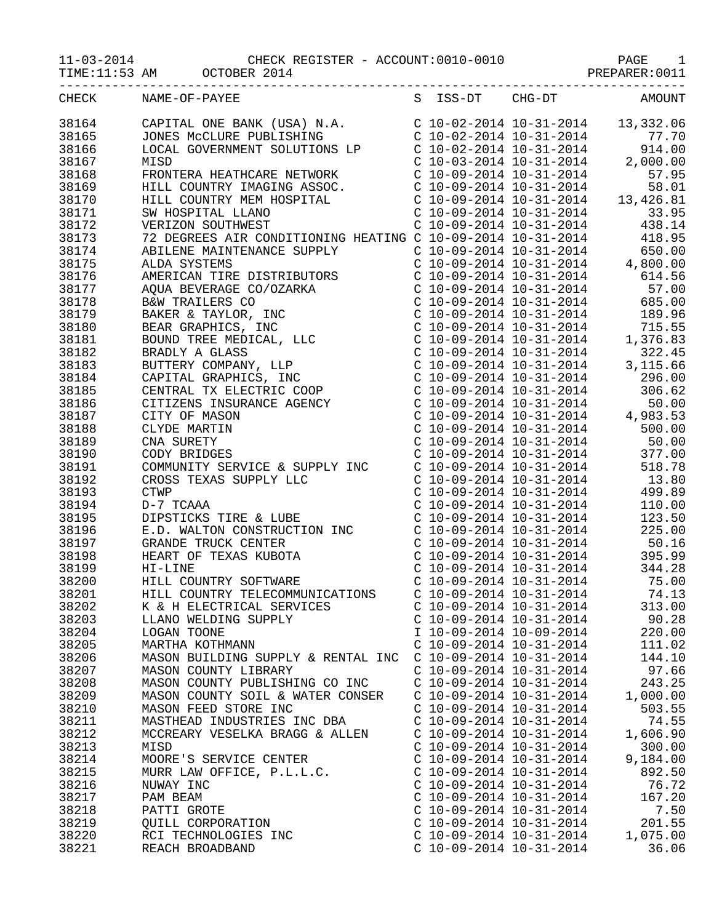11-03-2014 CHECK REGISTER - ACCOUNT:0010-0010 PAGE 1

|       | $11-03-2014$ DAGE 1<br>TIME:11:53 AM OCTOBER 2014                                                                                                                                                                                                                                                                                                                                         |                           |                                                                                                                                                                                                                                                                  |
|-------|-------------------------------------------------------------------------------------------------------------------------------------------------------------------------------------------------------------------------------------------------------------------------------------------------------------------------------------------------------------------------------------------|---------------------------|------------------------------------------------------------------------------------------------------------------------------------------------------------------------------------------------------------------------------------------------------------------|
| CHECK | _______________________________<br>NAME-OF-PAYEE                                                                                                                                                                                                                                                                                                                                          | S ISS-DT CHG-DT           | AMOUNT                                                                                                                                                                                                                                                           |
|       | 38164 CAPITAL ONE BANK (USA) N.A. C 10-02-2014 10-31-2014 13,332.06<br>38165 JONES MCCLURE PUBLISHING C 10-02-2014 10-31-2014 77.70<br>38166 LOCAL GOVERNMENT SOLUTIONS LP C 10-02-2014 10-31-2014 914.00<br>38167 MISD C 10-03-2014 10                                                                                                                                                   |                           |                                                                                                                                                                                                                                                                  |
|       |                                                                                                                                                                                                                                                                                                                                                                                           |                           |                                                                                                                                                                                                                                                                  |
|       |                                                                                                                                                                                                                                                                                                                                                                                           |                           |                                                                                                                                                                                                                                                                  |
|       |                                                                                                                                                                                                                                                                                                                                                                                           |                           |                                                                                                                                                                                                                                                                  |
| 38168 |                                                                                                                                                                                                                                                                                                                                                                                           |                           |                                                                                                                                                                                                                                                                  |
| 38169 |                                                                                                                                                                                                                                                                                                                                                                                           |                           |                                                                                                                                                                                                                                                                  |
| 38170 |                                                                                                                                                                                                                                                                                                                                                                                           |                           |                                                                                                                                                                                                                                                                  |
| 38171 |                                                                                                                                                                                                                                                                                                                                                                                           |                           |                                                                                                                                                                                                                                                                  |
| 38172 | FRONTERA HEATHCARE NETWORK<br>FRONTERA HEATHCARE NETWORK<br>HILL COUNTRY IMAGING ASSOC.<br>HILL COUNTRY MEM HOSPITAL<br>SW HOSPITAL LLANO<br>SW HOSPITAL LLANO<br>C 10-09-2014 10-31-2014<br>C 10-09-2014 10-31-2014<br>C 10-09-2014 10-31-201                                                                                                                                            |                           |                                                                                                                                                                                                                                                                  |
| 38173 |                                                                                                                                                                                                                                                                                                                                                                                           |                           |                                                                                                                                                                                                                                                                  |
| 38174 |                                                                                                                                                                                                                                                                                                                                                                                           |                           |                                                                                                                                                                                                                                                                  |
| 38175 |                                                                                                                                                                                                                                                                                                                                                                                           |                           |                                                                                                                                                                                                                                                                  |
| 38176 |                                                                                                                                                                                                                                                                                                                                                                                           |                           |                                                                                                                                                                                                                                                                  |
| 38177 |                                                                                                                                                                                                                                                                                                                                                                                           |                           |                                                                                                                                                                                                                                                                  |
| 38178 |                                                                                                                                                                                                                                                                                                                                                                                           |                           |                                                                                                                                                                                                                                                                  |
| 38179 |                                                                                                                                                                                                                                                                                                                                                                                           |                           |                                                                                                                                                                                                                                                                  |
| 38180 |                                                                                                                                                                                                                                                                                                                                                                                           |                           |                                                                                                                                                                                                                                                                  |
| 38181 |                                                                                                                                                                                                                                                                                                                                                                                           |                           |                                                                                                                                                                                                                                                                  |
| 38182 |                                                                                                                                                                                                                                                                                                                                                                                           |                           |                                                                                                                                                                                                                                                                  |
| 38183 |                                                                                                                                                                                                                                                                                                                                                                                           |                           |                                                                                                                                                                                                                                                                  |
| 38184 |                                                                                                                                                                                                                                                                                                                                                                                           |                           |                                                                                                                                                                                                                                                                  |
| 38185 |                                                                                                                                                                                                                                                                                                                                                                                           |                           |                                                                                                                                                                                                                                                                  |
| 38186 |                                                                                                                                                                                                                                                                                                                                                                                           |                           |                                                                                                                                                                                                                                                                  |
| 38187 |                                                                                                                                                                                                                                                                                                                                                                                           |                           |                                                                                                                                                                                                                                                                  |
| 38188 |                                                                                                                                                                                                                                                                                                                                                                                           |                           |                                                                                                                                                                                                                                                                  |
| 38189 |                                                                                                                                                                                                                                                                                                                                                                                           |                           |                                                                                                                                                                                                                                                                  |
| 38190 | $\begin{tabular}{l c c c c c} {\it HILL COUNTRY MEM HOSPITAL} & $\text{C 10--09--2014 10--31--2014}$ & $13,426.81$ \\ \hline \text{SM MOSPITAL LLAND. LLAND.} & $\text{C 10--09--2014 10--31--2014}$ & $13,426.81$ \\ \hline \text{VEREZON SOLUTION INWENTENANCE} & $\text{C 10--09--2014 10--31--2014}$ & $438.94$ \\ \hline \text{RBLBENE B S AIR COMDITIONING HERATING C 10--09--2014$ |                           |                                                                                                                                                                                                                                                                  |
|       |                                                                                                                                                                                                                                                                                                                                                                                           |                           |                                                                                                                                                                                                                                                                  |
|       | 38190 CODY BRIDGES<br>38191 COMMUNITY SERVICE & SUPPLY INC<br>38192 CROSS TEXAS SUPPLY LLC<br>38193 CTWP<br>38194 D-7 TCAAA<br>38195 DIPSTICKS TIRE & LUBE<br>38196 E.D. WALTON CONSTRUCTION INC<br>38197 GRANDE TRUCK CENTER<br>38198 HEART O                                                                                                                                            |                           | $200-09-2014$<br>$10-31-2014$<br>$-31-2014$<br>$-500.00$<br>$-10-09-2014$<br>$-10-31-2014$<br>$-31-2014$<br>$-31-2014$<br>$-377.00$<br>$-10-09-2014$<br>$-10-31-2014$<br>$-31-2014$<br>$-31-2014$<br>$-31-2014$<br>$-31-2014$<br>$-31-2014$<br>$-31-2014$<br>$-$ |
|       |                                                                                                                                                                                                                                                                                                                                                                                           |                           |                                                                                                                                                                                                                                                                  |
|       |                                                                                                                                                                                                                                                                                                                                                                                           |                           | C $10-09-2014$ $10-31-2014$ $110.00$                                                                                                                                                                                                                             |
|       |                                                                                                                                                                                                                                                                                                                                                                                           |                           | C 10-09-2014 10-31-2014<br>C 10-09-2014 10-31-2014<br>C 10-09-2014 10-31-2014<br>C 10-09-2014 10-31-2014<br>C 10-09-2014 10-31-2014<br>395.99                                                                                                                    |
|       |                                                                                                                                                                                                                                                                                                                                                                                           |                           |                                                                                                                                                                                                                                                                  |
|       |                                                                                                                                                                                                                                                                                                                                                                                           |                           |                                                                                                                                                                                                                                                                  |
|       |                                                                                                                                                                                                                                                                                                                                                                                           |                           |                                                                                                                                                                                                                                                                  |
|       |                                                                                                                                                                                                                                                                                                                                                                                           |                           | C $10-09-2014$ $10-31-2014$ 344.28                                                                                                                                                                                                                               |
| 38200 | HILL COUNTRY SOFTWARE                                                                                                                                                                                                                                                                                                                                                                     | $C$ 10-09-2014 10-31-2014 | 75.00                                                                                                                                                                                                                                                            |
| 38201 | HILL COUNTRY TELECOMMUNICATIONS                                                                                                                                                                                                                                                                                                                                                           | $C$ 10-09-2014 10-31-2014 | 74.13                                                                                                                                                                                                                                                            |
| 38202 | K & H ELECTRICAL SERVICES                                                                                                                                                                                                                                                                                                                                                                 | $C$ 10-09-2014 10-31-2014 | 313.00                                                                                                                                                                                                                                                           |
| 38203 | LLANO WELDING SUPPLY                                                                                                                                                                                                                                                                                                                                                                      | $C$ 10-09-2014 10-31-2014 | 90.28                                                                                                                                                                                                                                                            |
| 38204 | LOGAN TOONE                                                                                                                                                                                                                                                                                                                                                                               | I 10-09-2014 10-09-2014   | 220.00                                                                                                                                                                                                                                                           |
| 38205 | MARTHA KOTHMANN                                                                                                                                                                                                                                                                                                                                                                           | $C$ 10-09-2014 10-31-2014 | 111.02                                                                                                                                                                                                                                                           |
| 38206 | MASON BUILDING SUPPLY & RENTAL INC                                                                                                                                                                                                                                                                                                                                                        | $C$ 10-09-2014 10-31-2014 | 144.10                                                                                                                                                                                                                                                           |
| 38207 | MASON COUNTY LIBRARY                                                                                                                                                                                                                                                                                                                                                                      | $C$ 10-09-2014 10-31-2014 | 97.66                                                                                                                                                                                                                                                            |
| 38208 | MASON COUNTY PUBLISHING CO INC                                                                                                                                                                                                                                                                                                                                                            | $C$ 10-09-2014 10-31-2014 | 243.25                                                                                                                                                                                                                                                           |
| 38209 | MASON COUNTY SOIL & WATER CONSER                                                                                                                                                                                                                                                                                                                                                          | $C$ 10-09-2014 10-31-2014 | 1,000.00                                                                                                                                                                                                                                                         |
| 38210 | MASON FEED STORE INC                                                                                                                                                                                                                                                                                                                                                                      | $C$ 10-09-2014 10-31-2014 | 503.55                                                                                                                                                                                                                                                           |
| 38211 | MASTHEAD INDUSTRIES INC DBA                                                                                                                                                                                                                                                                                                                                                               | $C$ 10-09-2014 10-31-2014 | 74.55                                                                                                                                                                                                                                                            |
| 38212 | MCCREARY VESELKA BRAGG & ALLEN                                                                                                                                                                                                                                                                                                                                                            | $C$ 10-09-2014 10-31-2014 | 1,606.90                                                                                                                                                                                                                                                         |
| 38213 | MISD                                                                                                                                                                                                                                                                                                                                                                                      | $C$ 10-09-2014 10-31-2014 | 300.00                                                                                                                                                                                                                                                           |
| 38214 | MOORE'S SERVICE CENTER                                                                                                                                                                                                                                                                                                                                                                    | $C$ 10-09-2014 10-31-2014 | 9,184.00                                                                                                                                                                                                                                                         |
| 38215 | MURR LAW OFFICE, P.L.L.C.                                                                                                                                                                                                                                                                                                                                                                 | $C$ 10-09-2014 10-31-2014 | 892.50                                                                                                                                                                                                                                                           |
| 38216 | NUWAY INC                                                                                                                                                                                                                                                                                                                                                                                 | $C$ 10-09-2014 10-31-2014 | 76.72                                                                                                                                                                                                                                                            |
| 38217 | PAM BEAM                                                                                                                                                                                                                                                                                                                                                                                  | $C$ 10-09-2014 10-31-2014 | 167.20                                                                                                                                                                                                                                                           |
| 38218 | PATTI GROTE                                                                                                                                                                                                                                                                                                                                                                               | $C$ 10-09-2014 10-31-2014 | 7.50                                                                                                                                                                                                                                                             |
| 38219 | QUILL CORPORATION                                                                                                                                                                                                                                                                                                                                                                         | $C$ 10-09-2014 10-31-2014 | 201.55                                                                                                                                                                                                                                                           |
| 38220 | RCI TECHNOLOGIES INC                                                                                                                                                                                                                                                                                                                                                                      | $C$ 10-09-2014 10-31-2014 | 1,075.00                                                                                                                                                                                                                                                         |
| 38221 | REACH BROADBAND                                                                                                                                                                                                                                                                                                                                                                           | $C$ 10-09-2014 10-31-2014 | 36.06                                                                                                                                                                                                                                                            |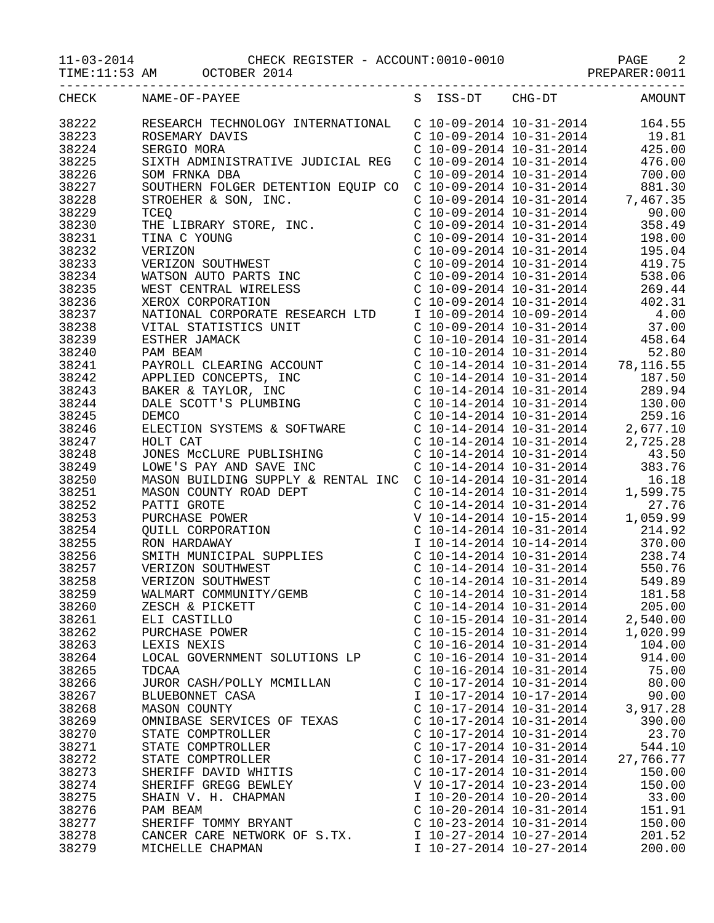TIME:11:53 AM OCTOBER 2014 CONSTRAINING PREPARER:0011

|       | CHECK NAME-OF-PAYEE           | S ISS-DT CHG-DT AMOUNT    |           |
|-------|-------------------------------|---------------------------|-----------|
|       |                               |                           |           |
|       |                               |                           |           |
|       |                               |                           |           |
|       |                               |                           |           |
|       |                               |                           |           |
|       |                               |                           |           |
|       |                               |                           |           |
|       |                               |                           |           |
|       |                               |                           |           |
|       |                               |                           |           |
|       |                               |                           |           |
|       |                               |                           |           |
|       |                               |                           |           |
|       |                               |                           |           |
|       |                               |                           |           |
|       |                               |                           |           |
|       |                               |                           |           |
|       |                               |                           |           |
|       |                               |                           |           |
|       |                               |                           |           |
|       |                               |                           |           |
|       |                               |                           |           |
|       |                               |                           |           |
|       |                               |                           |           |
|       |                               |                           |           |
|       |                               |                           |           |
|       |                               |                           |           |
|       |                               |                           |           |
|       |                               |                           |           |
|       |                               |                           |           |
|       |                               |                           |           |
|       |                               |                           |           |
|       |                               |                           |           |
|       |                               |                           |           |
|       |                               |                           |           |
|       |                               |                           |           |
|       |                               |                           |           |
|       |                               |                           |           |
|       |                               |                           |           |
|       |                               |                           |           |
| 38260 | ZESCH & PICKETT               | $C$ 10-14-2014 10-31-2014 | 205.00    |
| 38261 | ELI CASTILLO                  | $C$ 10-15-2014 10-31-2014 | 2,540.00  |
| 38262 | PURCHASE POWER                | $C$ 10-15-2014 10-31-2014 | 1,020.99  |
| 38263 | LEXIS NEXIS                   | $C$ 10-16-2014 10-31-2014 | 104.00    |
| 38264 | LOCAL GOVERNMENT SOLUTIONS LP | $C$ 10-16-2014 10-31-2014 | 914.00    |
| 38265 | TDCAA                         | $C$ 10-16-2014 10-31-2014 | 75.00     |
| 38266 | JUROR CASH/POLLY MCMILLAN     | C 10-17-2014 10-31-2014   | 80.00     |
| 38267 | BLUEBONNET CASA               | I 10-17-2014 10-17-2014   | 90.00     |
| 38268 | MASON COUNTY                  | $C$ 10-17-2014 10-31-2014 | 3,917.28  |
| 38269 | OMNIBASE SERVICES OF TEXAS    | $C$ 10-17-2014 10-31-2014 | 390.00    |
| 38270 | STATE COMPTROLLER             | $C$ 10-17-2014 10-31-2014 | 23.70     |
| 38271 | STATE COMPTROLLER             | $C$ 10-17-2014 10-31-2014 | 544.10    |
| 38272 | STATE COMPTROLLER             | $C$ 10-17-2014 10-31-2014 | 27,766.77 |
| 38273 | SHERIFF DAVID WHITIS          | $C$ 10-17-2014 10-31-2014 | 150.00    |
| 38274 | SHERIFF GREGG BEWLEY          | V 10-17-2014 10-23-2014   | 150.00    |
| 38275 | SHAIN V. H. CHAPMAN           | I 10-20-2014 10-20-2014   | 33.00     |
| 38276 | PAM BEAM                      | $C$ 10-20-2014 10-31-2014 | 151.91    |
| 38277 | SHERIFF TOMMY BRYANT          | $C$ 10-23-2014 10-31-2014 | 150.00    |
| 38278 | CANCER CARE NETWORK OF S.TX.  | I 10-27-2014 10-27-2014   | 201.52    |
| 38279 | MICHELLE CHAPMAN              | I 10-27-2014 10-27-2014   | 200.00    |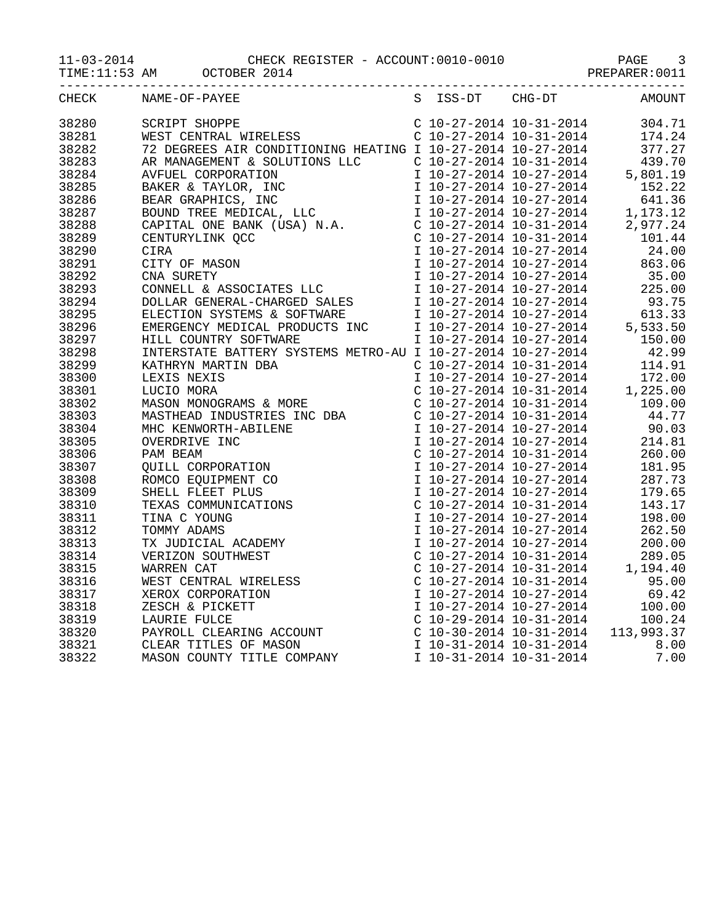TIME:11:53 AM OCTOBER 2014 CONSTRAINING PREPARER:0011

|       | ------------------------------<br>-------------------------------- |                 | ------------ |
|-------|--------------------------------------------------------------------|-----------------|--------------|
| CHECK | NAME-OF-PAYEE                                                      | S ISS-DT CHG-DT | AMOUNT       |
| 38280 |                                                                    |                 |              |
| 38281 |                                                                    |                 |              |
| 38282 |                                                                    |                 |              |
| 38283 |                                                                    |                 |              |
| 38284 |                                                                    |                 |              |
| 38285 |                                                                    |                 |              |
| 38286 |                                                                    |                 |              |
| 38287 |                                                                    |                 |              |
| 38288 |                                                                    |                 |              |
| 38289 |                                                                    |                 |              |
| 38290 |                                                                    |                 |              |
| 38291 |                                                                    |                 |              |
| 38292 |                                                                    |                 |              |
| 38293 |                                                                    |                 |              |
| 38294 |                                                                    |                 |              |
| 38295 |                                                                    |                 |              |
| 38296 |                                                                    |                 |              |
| 38297 |                                                                    |                 |              |
| 38298 |                                                                    |                 |              |
| 38299 |                                                                    |                 |              |
| 38300 |                                                                    |                 |              |
| 38301 |                                                                    |                 |              |
| 38302 |                                                                    |                 |              |
| 38303 |                                                                    |                 |              |
| 38304 |                                                                    |                 |              |
| 38305 |                                                                    |                 |              |
| 38306 |                                                                    |                 |              |
| 38307 |                                                                    |                 |              |
| 38308 |                                                                    |                 |              |
| 38309 |                                                                    |                 |              |
| 38310 |                                                                    |                 |              |
| 38311 |                                                                    |                 |              |
| 38312 |                                                                    |                 |              |
| 38313 |                                                                    |                 |              |
| 38314 |                                                                    |                 |              |
| 38315 |                                                                    |                 |              |
| 38316 |                                                                    |                 |              |
| 38317 |                                                                    |                 |              |
| 38318 |                                                                    |                 |              |
| 38319 |                                                                    |                 |              |
| 38320 |                                                                    |                 |              |
| 38321 |                                                                    |                 |              |
| 38322 |                                                                    |                 |              |
|       |                                                                    |                 |              |